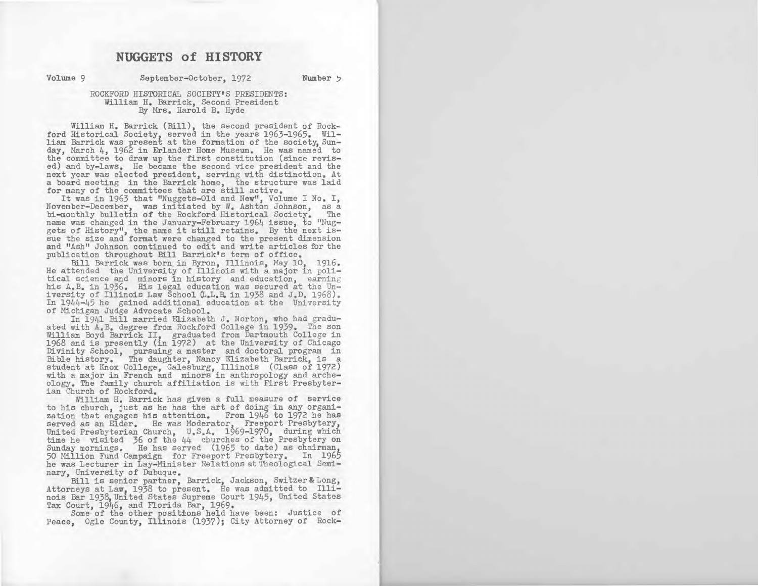# **NUGGETS of HISTORY**

Volume 9 **8eptember-October, 1972** Number 5

# ROCKFORD HISTORICAL SOCIETY'S PRESIDENTS: William H. Barrick, Second President By Mrs. Harold B. Hyde

William H. Barrick (Bill), the second president of Rockford Historical Society, served in the years 1963-1965. William Barrick was present at the formation of the society, Sunday, March 1, 1962 in Erlander Home Museum. He was named to the committee to draw up the first constitution (since revised) and by-laws. He became the second vice president and the next year was elected president, serving with distinction. At a board meeting in the Barrick home, the structure was laid for many of the committees that are still active.

It was in 1963 that "Nuggets-Old and New", Volume I No. I, November-December, was initiated by W. Ashton Johnson, as a bi-monthly bulletin of the Rockford Historical Society. The name was changed in the January-February 1964 issue, to "Nuggets of History", the name it still retains. By the next issue the size and format were changed to the present dimension and "Ash" Johnson continued to edit and write articles for the publication throughout Bill Barrick's term of office.

Bill Barrick was born, in Byron, Illinois, May 10, 1916. He attended the University of Illinois with a major in political science and minors in history and education, earning his A.B. in 1936. His legal education was secured at the University of Illinois Law School  $(L, L, B, in 1938$  and  $J, D, 1968)$ . In *1944-45* he gained additional education at the University of Michigan Judge Advocate School.

In 1941 Bill married Elizabeth J. Norton, who had graduated with A.B. degree from Rockford College in 1939. The son William Boyd Barrick II, graduated from Dartmouth College in 1968 and is presently (in 1972) at the University of Chicago Divinity School, pursuing a master and doctoral program in Bible history. The daughter, Nancy Elizabeth Barrick, is a student at Knox College, Galesburg, Illinois (Class of 1972) with a major in French and minors in anthropology and archeology. The family church affiliation is with First Presbyterian Church of Rockford.

William H. Barrick has given a full measure of service to his church, just as he has the art of doing in any organization that engages his attention. From 1946 to 1972 he has served as an Elder. He was Moderator, Freeport Presbytery, United Presbyterian Church, U.S.A. 1969-1970, during which time he visited 36 of the *kk* churches of the Presbytery on Sunday mornings. He has served (1965 to date) as chairman, 50 Million Fund Campaign for Freeport Presbytery. In 1965 he was Lecturer in Lay-Minister Relations at Theological Seminary, University of Dubuque.

Bill is senior partner, Barrick, Jackson, Switzer & Long, Attorneys at Law, 1938 to present. He was admitted to Illinois Bar 1938, United States Supreme Court 1945, United States Tax Court, 1946, and Florida Bar, 1969.

Some' of the other positions held have been: Justice of Peace, Ogle County, Illinois (1937); City Attorney of Rock-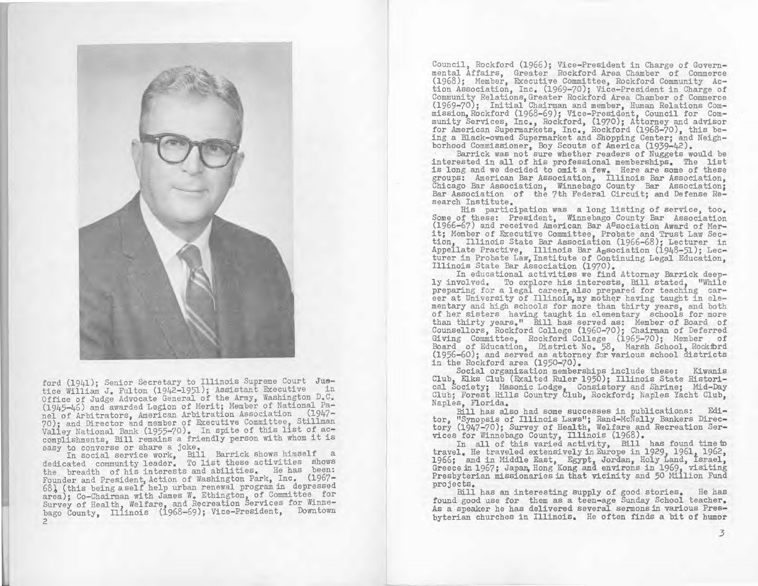

ford (1941); Senior Secretary to Illinois Supreme Court Juetice William J. Fulton (1942-1951); Assistant Executive Office of Judge Advocate General of the Army, Washington D.C. (1945-1 +6) and awarded Legion of Merit; Member of National Panel of Arbitrators, American Arbitration Association (1947- 70); and Director and member of Executive Committee, Stillman Valley National Bank (1955-70). In spite of this list of accomplishments, Bill remains a friendly person with whom it is easy to converse or share a joke.

In social service work, Bill Barrick shows himself a dedicated community leader. To list these activities shows the breadth of his interests and abilities. He has been: Founder and President, Action of Washington Park, Inc. (1967- 68), (this being aself help urban renewal program in depressed area); Co-Chairman with James W. Ethington, of Committee for Survey of Health, Welfare, and Recreation services for Winne-bago County, Illinois (1968-69); Vice-President, Downtown  $\overline{c}$ 

Council, Rockford (1966); Vice-President in Charge of Governmental Affairs, Greater Rockford Area Chamber of Commerce (1968); Member, Executive Committee, Rockford Community Action Association, Inc. (1969-70); Vice-President in Charge of Community Relations, Greater Rockford Area Chamber of Commerce (1969-70); Initial Chairman and member, Human Relations Commission, Rockford (1968-69); Vice-President, Council for Community Services, Inc., Rockford, (1970); Attorney and advisor for American Supermarkets, Inc., Rockford (1968-70), this being a Black-owned Supermarket and Shcpping Center; and Neighborhood Commissioner, Boy Scouts of America (1939-42).

Barrick was not sure whether readers of Nuggets would be interested in all of his professional memberships. The list is long and we decided to omit a few. Here are some of these groups: American Bar Association, Illinois Bar Association, Chicago Bar Association, Winnebago County Bar Association; Bar Association of the 7th Federal Circuit; and Defense Research Institute.

His participation was a long listing of service, too. Some of these: President, Winnebago County Bar Association (1966-67) and received American Bar Association Award of Merit; Member of Executive Committee, Probate and Trust Law Section, Illinois State Bar Association (1966-68); Lecturer in Appellate Practive, Illinois Bar A<sub>S</sub>sociation (1948-51); Lecturer in Probate Law, Institute of Continuing Legal Education, Illinois State Bar Association (1970).

In educational activities we find Attorney Barrick deeply involved. To explore his interests, Bill stated, "While preparing for a legal career, also prepared for teaching career at University of Illinois, my mother having taught in elementary and high schools for more than thirty years, and both of her sisters having taught in elementary schools for more than thirty years." Bill has served as: Member of Board of Counsellors, Rockford College (1960-70); Chairman of Deferred Giving Committee, Rockford College (1965-70); Member of Board of Education, District No. 58, Marsh School, Rockford (1956-60); and served as attorney for various school districts in the Rockford area (1950-70).

Social organization memberships include these: Kiwanis Club, Elks Club (Exalted Ruler 1950); Illinois State Historical Society; Masonic Lodge, Consistory and Shrine; Mid-Day Club; Forest Hills Country Club, Rockford; Naples Yacht Club, Naples, Florida.

Bill has also had some successes in publications: Editor, "Synopsis of Illinois Laws"; Rand-McNally Bankers Directory (1947-70); Survey of Health, Welfare and Recreation Services for Winnebago County, Illinois (1968).

In all of this varied activity, Bill has found time to travel. He traveled extensively in Europe in 1929, 1961, 1962, travel. He traveled extensively in Europe in 1929, 1961, 1962,<br>1966; and in Middle East, Egypt, Jordan, Holy Land, Israel, Greece in 1967; Japan, Hong Kong and environs in 1969, visiting Presbyterian missionaries in that vicinity and 50 Million Fund projects.

Bill has an interesting supply of good stories. He has found good use for them as a teen-age Sunday School teacher. As a speaker he has delivered several sermons in various Presbyterian churches in Illinois. He often finds a bit of humor

3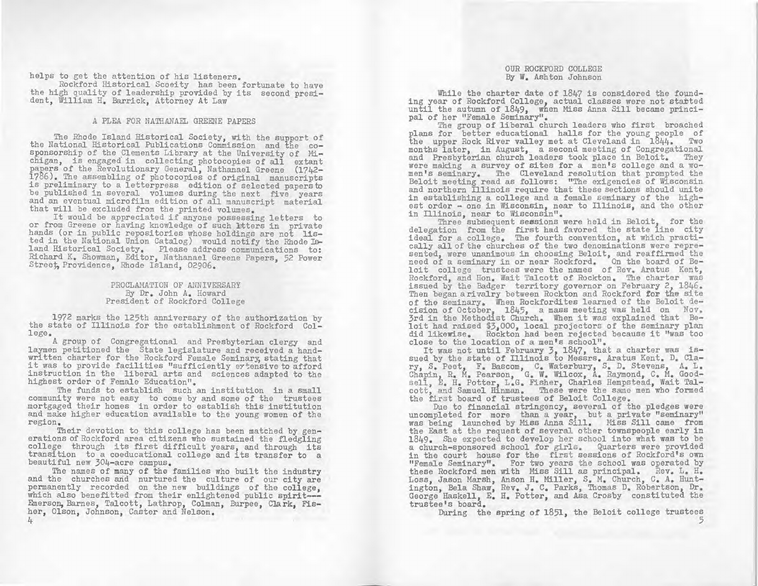helps to get the attention of his listeners.

Rockford Historical Scoeity has been fortunate to have the high quality of leadership provided by its second president, William H. Barrick, Attorney At Law

## A PLEA FOR NATHANAEL GREENE PAPERS

The Rhode Island Historical Society, with the support of the National Historical Publications Commission and the cosponsorship of the Clements Library at the University of Michigan, is engaged in collecting photocopies of all extant<br>papers of the Revolutionary General, Nathanael Greene (1742-1786). The assembling of photocopies of original manuscripts is preliminary to a letterpress edition of selected papers to be published in several volumes during the next five years and an eventual microfilm edition of all manuscript material that will be excluded from the printed volumes.

It would be appreciated if anyone possessing letters to or from Greene or having knowledge of such htters in private hands (or in public repositories whose holdings are not **lis**ted in the National Union Catalog) would notify the Rhode Island Historical Society, Please address communications to: Richard K. Showman, Editor, Nathanael Greene Papers, 52 Power Street, Providence, Rhode Island, 02906.

> PROCLAMATION OF ANNIVERSARY By Dr. John A. Howard President of Rockford College

1972 marks the 125th anniversary of the authorization by the state of Illinois for the establishment of Rockford College.

A group of Congregational and Presbyterian clergy and laymen petitioned the State legislature and received a handwritten charter for the Rockford Female Seminary, stating that it was to provide facilities "sufficiently eytensive to afford instruction in the liberal arts and sciences adapted to the highest order of Female Education".

The funds to establish such an institution in a small community were not easy to come by and some of the trustees mortgaged their homes in order to establish this institution and make higher education available to the young women of the region.

Their devotion to this college has been matched by generations of Rockford area citizens who sustained the fledgling college through its first difficult years, and through its transition to a coeducational college and its transfer to a beautiful new 304-acre campus.

The names of many of the families who built the industry and the churches and nurtured the culture of our city are permanently recorded on the new buildings of the college, which also benefitted from their enlightened public spirit---Emerson, Barnes, Talcott, Lathrop, Colman, Burpee, Clark, Fisher, Olson, Johnson, Caster and Nelson. 4

## OUR ROCKFORD COLLEGE By W. Ashton Johnson

While the charter date of 1847 is considered the founding year of Rockford College, actual classes were not stated until the autumn of 1849, when Miss Anna Sill became principal of her "Female Seminary".

The group of liberal church leaders who first broached plans for better educational halls for the young people of the upper Rock River valley met at Cleveland in 1844. Two months later, in August, a second meeting of Congregational and Presbyterian church leaders took place in Beloit. They were making a survey of sites for a men's college and a women's seminary. The Cleveland resolution that prompted the Beloit meeting read as follows: "The exigencies of Wisconsin and northern Illinois require that these sections should unite in establishing a college and a female seminary of the highest order - one in Wisconsin, near to Illinois, and the other in Illinois, near to Wisconsin".

Three subsequent sessions were held in Beloit, for the delegation from the first had favored the state line city ideal for a college. The fourth convention, at which practically all of the churches of the two denominations were represented, were unanimous in choosing Beloit, and reaffirmed the need of a seminary in or near Rockford. On the board of Beloit college trustees were the names of Rev. Aratus Kent, Rockford, and Hon. Wait Talcott of Rockton. The charter was issued by the Badger territory governor on February 2, 1846. Then began a rivalry between Rockton and Rockford for the site of the seminary. When Rockfordites learned of the Beloit decision of October. 1845, a mass meeting was held on Nov. 3rd in the Methodist Church. When it was explained that Beloit had raised \$3,000, local projectors of the seminary plan did likewise. Rockton had been rejected because it "was too close to the location of a men's school".

It was not until February 3, 1847, that a charter was is-<br>sued by the state of Illinois to Messrs. Aratus Kent. D. Clary, S. Peet, F. Bascom, C. Waterbury, S. D. Stevens, A. L. Chapin, R. M. Pearson, G. W. Wilcox, A. Raymond, C. H. Goodsell, E. H. Potter, L.G. Fisher, Charles Hempstead, Wait Talcott, and Samuel Hinman. These were the same men who formed the first board of trustees of Beloit College.

Due to financial stringency, several of the pledges were uncompleted for more than a year, but a private "seminary" was being launched by **Miss** Anna Sill. Miss Sill came from the East at the request of several other townspeople early in 1849. She expected to develop her school into what was to be a church-sponsored school for girls. Quarters were provided in the court house for the first sessions of Rockford's own "Female Seminary". For two years the school was operated by these Rockford men with **Miss Sill** as principal. Rev. L. H. Loss, Jason Marsh, Anson H. Miller, S. M. Church, C. A. Huntington, Bela Shaw, Rev. J. C. Parks, Thomas D. Robertson, Dr. George Haskell, E. H. Potter, and Asa Crosby constituted the trustee's board.

During the spring of 1851, the Beloit college trustees

*5*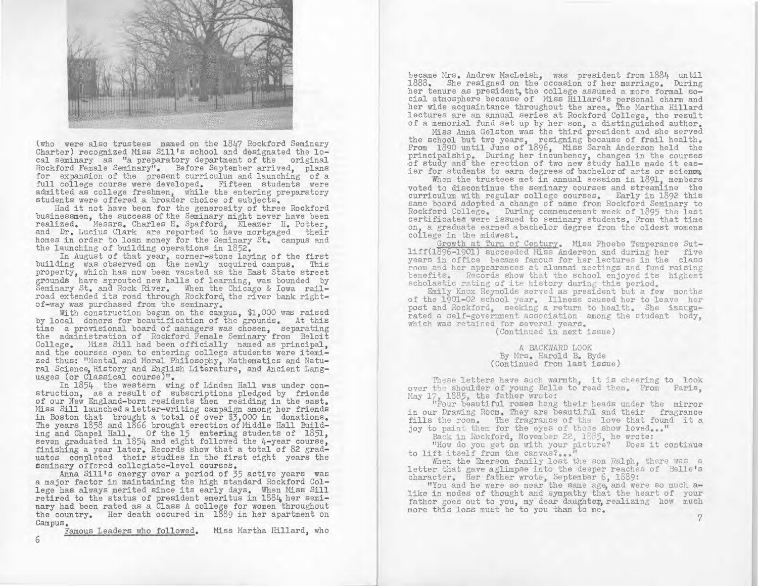

(who were also trustees named on the 1847 Rockford Seminary Charter) recognized Miss Sill's school and designated the local seminary as "a preparatory department of the original Rockford Female Seminary". Before September arrived, plans for expansion of the present curriculum and launching of a full college course were developed. Fifteen students were admitted as college freshmen, while the entering preparatory students were offered a broader choice of subjects.

Had it not have been for the generosity of three Rockford businessmen, the success of the Seminary might never have been realized. Messrs. Charles H. Spafford, Eleazer H. Potter, and Dr. Lucius Clark are reported to have mortgaged their homes in order to loan money for the Seminary St. campus and the launching of building operations in 1852.

In August of that year, corner-stone laying of the first building was observed on the newly acquired campus. This property, which has now been vacated as the East State street grounds have sprouted new halls of learning, was bounded by Seminary St, and Rock River, When the Chicago & Iowa railroad extended its road through Rockford, the river bank rightof-way was purchased from the seminary.

With construction begun on the campus, \$1,000 was raised by local donors for beautification of the grounds. At this time a provisional board of managers was chosen, separating the administration of Rockford Female Seminary from Beloit College. Miss Sill had been officially named as principal, and the courses open to entering college students were itemized thus: "Mental and Moral Philosophy Mathematics and Natural Science, History and English Literature, and Ancient Languages (or Classical course)".

In 1854 the western wing of Linden Hall was under construction, as a result of subscriptions pledged by friends of our New England-born residents then residing in the east. Miss Sill launched aletter-writing campaign among her friends in Boston that brought a total of over \$3,000 in donations. The years 1858 and 1866 brought erection of Middle Hall Building and Chapel Hall. Of the 15 entering students of 1851, seven graduated in 1854 and eight followed the 4-year course, finishing a year later. Records show that a total of 82 graduates completed their studies in the first eight years the Seminary offered collegiate-level courses,

Anna Sill's energy over a period of 35 active years was a major factor in maintaining the high standard Rockford College has always merited since its early days. When Miss Sill retired to the status of president emeritus in  $1884$ , her seminary had been rated as a Class A college for women throughout the country. Her death occured in 1889 in her apartment on Campus.

Famous Leaders who followed. Miss Martha Hillard, who

became Mrs. Andrew MacLeish, was president from 1884 until 1888. She resigned on the occasion of her marriage. During her tenure as president, the college assumed a more formal social atmosphere because of Miss Hillard's personal charm and her wide acquaintance throughout the area. The Martha Millard lectures are an annual series at Rockford College, the result of a memorial fund set up by her son, a distinguished author.

Miss Anna Gelston was the third president and she served the school but two years, resigning because of frail health. From 1890 until June of 1896, Miss Sarah Anderson held the principalship. During her incumbency, changes in the courses of study and the erection of two new study halls made it easier for students to earn degrees of bachelor of arts or science.

When the trustees met in annual session in 1891, members voted to discontinue the seminary courses and streamline the curriculum with regular college courses. Early in 1892 this same board adopted a change of name from Rockford Seminary to Rockford College. During commencement week of 1895 the last certificates were issued to seminary students. From that time on, a graduate earned abachelor degree from the oldest womens coilege in the midwest.

Growth at Turn of Century, Miss Phoebe Temperance Sutliff(1896-1901) succeeded Miss Anderson and during her five years in office became famous for her lectures in the class room and her appearances at alumnai meetings and fund raising benefits. Records show that the school enjoyed its highest scholastic rating of its history during this period.

Emily Knox Reynolds served as president but a few months of the 1901-02 school year. Illness caused her to leave her post and Rockford, seeking a return to health. She inaugurated a self-government association among the student body, which was retained for several years.

(Continued in next issue)

A BACKWARD LOOK By Mrs. Harold B. Byde (Continued from last issue)

These letters have such warmth, it is cheering to look over the shoulder of young Belle to read them. From Paris,

May 17, 1885, the father wrote:<br>"Four beautiful roses hang their heads under the mirror in our Drawing Room. They are beautiful and their fragrance fills the room. The fragrance of the love that found it a joy to paint them for the eyes of those show loved..."

Back in Rockford, November 22, 1885, he wrote:

"How do you get on with your picture? Does it continue to lift itself from the canvas?...

When the Emerson family lost the son Ralph, there was a letter that gave aglimpse into the deeper reaches of Belle's character, Her father wrote, September 6, 1889:

"You and he were so near the same age, and were so much alike in modes of thought and sympathy that the heart of your father goes out to you, my dear daughter, realizing how much more this loss must be to you than to me.

6

7